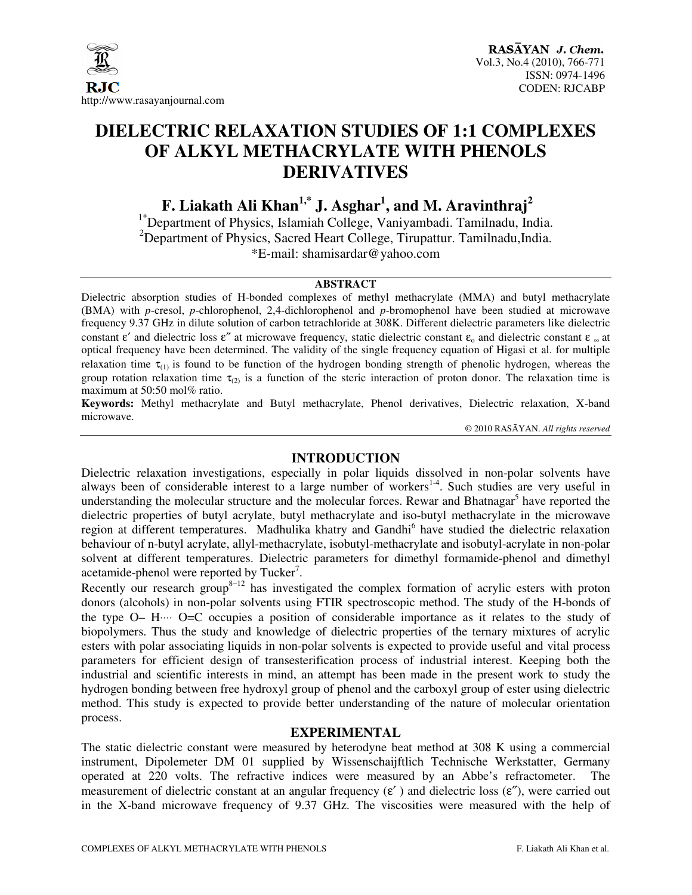

### **DIELECTRIC RELAXATION STUDIES OF 1:1 COMPLEXES OF ALKYL METHACRYLATE WITH PHENOLS DERIVATIVES**

**F. Liakath Ali Khan1,\* J. Asghar<sup>1</sup> , and M. Aravinthraj<sup>2</sup>**

<sup>1\*</sup>Department of Physics, Islamiah College, Vaniyambadi. Tamilnadu, India. <sup>2</sup>Department of Physics, Sacred Heart College, Tirupattur. Tamilnadu, India. \*E-mail: shamisardar@yahoo.com

#### **ABSTRACT**

Dielectric absorption studies of H-bonded complexes of methyl methacrylate (MMA) and butyl methacrylate (BMA) with *p*-cresol, *p*-chlorophenol, 2,4-dichlorophenol and *p*-bromophenol have been studied at microwave frequency 9.37 GHz in dilute solution of carbon tetrachloride at 308K. Different dielectric parameters like dielectric constant  $\epsilon'$  and dielectric loss  $\epsilon''$  at microwave frequency, static dielectric constant  $\epsilon_0$  and dielectric constant  $\epsilon_\infty$  at optical frequency have been determined. The validity of the single frequency equation of Higasi et al. for multiple relaxation time  $\tau_{(1)}$  is found to be function of the hydrogen bonding strength of phenolic hydrogen, whereas the group rotation relaxation time  $\tau_{(2)}$  is a function of the steric interaction of proton donor. The relaxation time is maximum at 50:50 mol% ratio.

**Keywords:** Methyl methacrylate and Butyl methacrylate, Phenol derivatives, Dielectric relaxation, X-band microwave.

© 2010 RASĀYAN. *All rights reserved*

#### **INTRODUCTION**

Dielectric relaxation investigations, especially in polar liquids dissolved in non-polar solvents have always been of considerable interest to a large number of workers<sup>1-4</sup>. Such studies are very useful in understanding the molecular structure and the molecular forces. Rewar and Bhatnagar<sup>5</sup> have reported the dielectric properties of butyl acrylate, butyl methacrylate and iso-butyl methacrylate in the microwave region at different temperatures. Madhulika khatry and Gandhi<sup>6</sup> have studied the dielectric relaxation behaviour of n-butyl acrylate, allyl-methacrylate, isobutyl-methacrylate and isobutyl-acrylate in non-polar solvent at different temperatures. Dielectric parameters for dimethyl formamide-phenol and dimethyl acetamide-phenol were reported by Tucker<sup>7</sup>.

Recently our research group<sup>8−12</sup> has investigated the complex formation of acrylic esters with proton donors (alcohols) in non-polar solvents using FTIR spectroscopic method. The study of the H-bonds of the type O– H⋅⋅⋅⋅ O=C occupies a position of considerable importance as it relates to the study of biopolymers. Thus the study and knowledge of dielectric properties of the ternary mixtures of acrylic esters with polar associating liquids in non-polar solvents is expected to provide useful and vital process parameters for efficient design of transesterification process of industrial interest. Keeping both the industrial and scientific interests in mind, an attempt has been made in the present work to study the hydrogen bonding between free hydroxyl group of phenol and the carboxyl group of ester using dielectric method. This study is expected to provide better understanding of the nature of molecular orientation process.

#### **EXPERIMENTAL**

The static dielectric constant were measured by heterodyne beat method at 308 K using a commercial instrument, Dipolemeter DM 01 supplied by Wissenschaijftlich Technische Werkstatter, Germany operated at 220 volts. The refractive indices were measured by an Abbe's refractometer. The measurement of dielectric constant at an angular frequency  $(\epsilon')$  and dielectric loss  $(\epsilon'')$ , were carried out in the X-band microwave frequency of 9.37 GHz. The viscosities were measured with the help of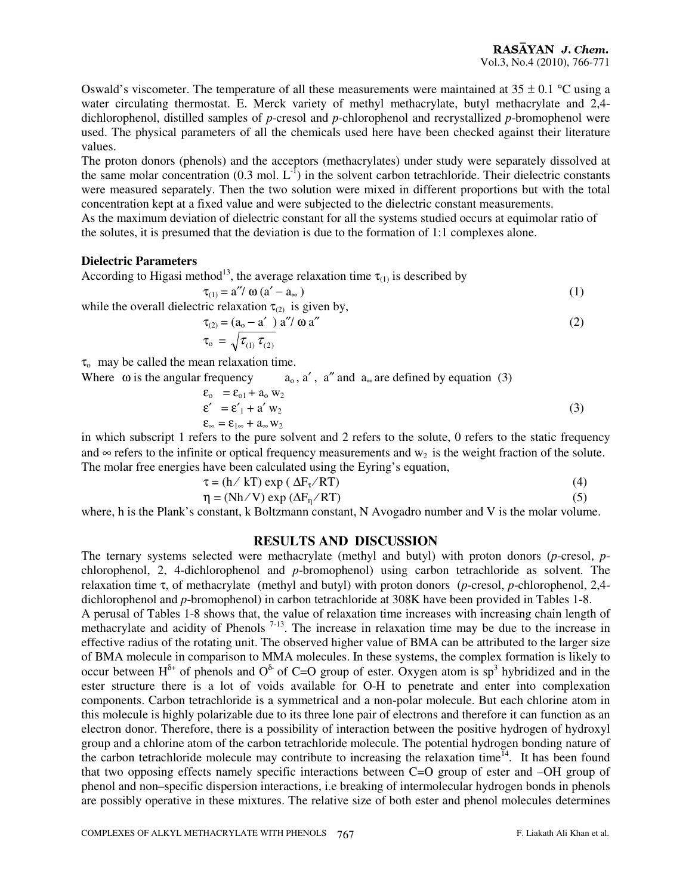Oswald's viscometer. The temperature of all these measurements were maintained at  $35 \pm 0.1$  °C using a water circulating thermostat. E. Merck variety of methyl methacrylate, butyl methacrylate and 2,4 dichlorophenol, distilled samples of *p*-cresol and *p*-chlorophenol and recrystallized *p*-bromophenol were used. The physical parameters of all the chemicals used here have been checked against their literature values.

The proton donors (phenols) and the acceptors (methacrylates) under study were separately dissolved at the same molar concentration (0.3 mol.  $L^{-1}$ ) in the solvent carbon tetrachloride. Their dielectric constants were measured separately. Then the two solution were mixed in different proportions but with the total concentration kept at a fixed value and were subjected to the dielectric constant measurements.

As the maximum deviation of dielectric constant for all the systems studied occurs at equimolar ratio of the solutes, it is presumed that the deviation is due to the formation of 1:1 complexes alone.

#### **Dielectric Parameters**

According to Higasi method<sup>13</sup>, the average relaxation time  $\tau_{(1)}$  is described by

$$
\tau_{(1)} = a'' / \omega (a' - a_{\infty})
$$
\n
$$
\tau_{(1)} = a'' / \omega (a' - a_{\infty})
$$
\n(1)

while the overall dielectric relaxation  $\tau_{(2)}$  is given by,

$$
\tau_{(2)} = (a_0 - a') \alpha''/\omega a''
$$
  
\n
$$
\tau_o = \sqrt{\tau_{(1)} \tau_{(2)}}
$$
\n(2)

 $\tau_{o}$  may be called the mean relaxation time.

Where  $\omega$  is the angular frequency  $a_0$ , a', a'' and  $a_\infty$  are defined by equation (3)

$$
\begin{aligned} \n\mathbf{\varepsilon}_{0} &= \mathbf{\varepsilon}_{01} + \mathbf{a}_{0} \mathbf{w}_{2} \\ \n\mathbf{\varepsilon}' &= \mathbf{\varepsilon}'_{1} + \mathbf{a}' \mathbf{w}_{2} \\ \n\mathbf{\varepsilon}_{\infty} &= \mathbf{\varepsilon}_{1\infty} + \mathbf{a}_{\infty} \mathbf{w}_{2} \n\end{aligned} \tag{3}
$$

in which subscript 1 refers to the pure solvent and 2 refers to the solute, 0 refers to the static frequency and  $\infty$  refers to the infinite or optical frequency measurements and  $w_2$  is the weight fraction of the solute. The molar free energies have been calculated using the Eyring's equation,

$$
\tau = (h / kT) \exp(\Delta F_{\tau} / RT)
$$
 (4)

$$
\eta = (Nh/V) \exp(\Delta F_{\eta}/RT) \tag{5}
$$

where, h is the Plank's constant, k Boltzmann constant, N Avogadro number and V is the molar volume.

#### **RESULTS AND DISCUSSION**

The ternary systems selected were methacrylate (methyl and butyl) with proton donors (*p*-cresol, *p*chlorophenol, 2, 4-dichlorophenol and *p*-bromophenol) using carbon tetrachloride as solvent. The relaxation time τ, of methacrylate (methyl and butyl) with proton donors (*p*-cresol, *p*-chlorophenol, 2,4 dichlorophenol and *p*-bromophenol) in carbon tetrachloride at 308K have been provided in Tables 1-8. A perusal of Tables 1-8 shows that, the value of relaxation time increases with increasing chain length of methacrylate and acidity of Phenols<sup>7-13</sup>. The increase in relaxation time may be due to the increase in methacrylate and acidity of Phenols<sup>7-13</sup>.

effective radius of the rotating unit. The observed higher value of BMA can be attributed to the larger size of BMA molecule in comparison to MMA molecules. In these systems, the complex formation is likely to occur between  $H^{\delta^+}$  of phenols and  $O^{\delta^-}$  of C=O group of ester. Oxygen atom is sp<sup>3</sup> hybridized and in the ester structure there is a lot of voids available for O-H to penetrate and enter into complexation components. Carbon tetrachloride is a symmetrical and a non-polar molecule. But each chlorine atom in this molecule is highly polarizable due to its three lone pair of electrons and therefore it can function as an electron donor. Therefore, there is a possibility of interaction between the positive hydrogen of hydroxyl group and a chlorine atom of the carbon tetrachloride molecule. The potential hydrogen bonding nature of the carbon tetrachloride molecule may contribute to increasing the relaxation time<sup>14</sup>. It has been found that two opposing effects namely specific interactions between C=O group of ester and –OH group of phenol and non–specific dispersion interactions, i.e breaking of intermolecular hydrogen bonds in phenols are possibly operative in these mixtures. The relative size of both ester and phenol molecules determines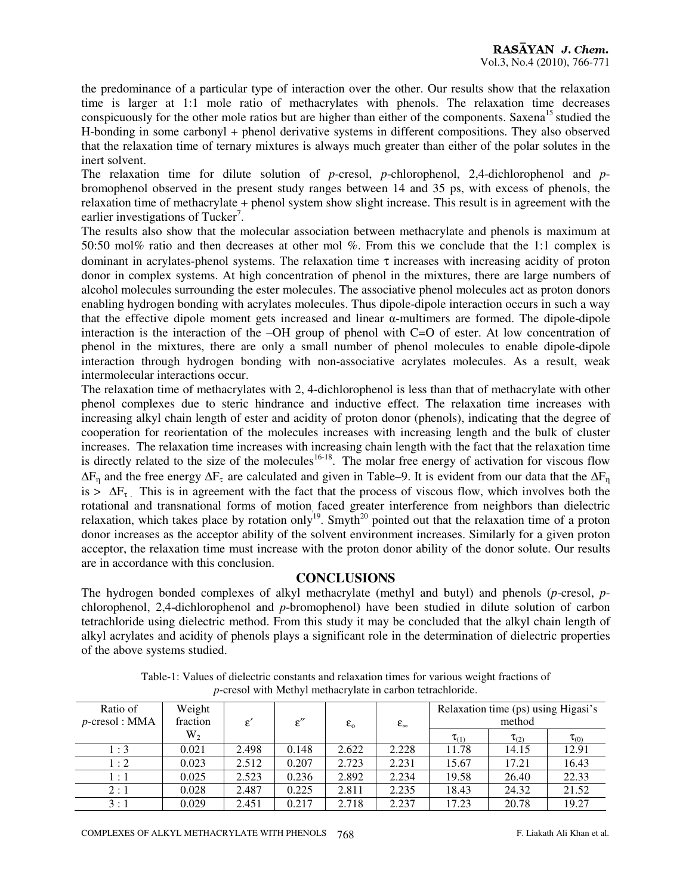the predominance of a particular type of interaction over the other. Our results show that the relaxation time is larger at 1:1 mole ratio of methacrylates with phenols. The relaxation time decreases conspicuously for the other mole ratios but are higher than either of the components. Saxena<sup>15</sup> studied the H-bonding in some carbonyl + phenol derivative systems in different compositions. They also observed that the relaxation time of ternary mixtures is always much greater than either of the polar solutes in the inert solvent.

The relaxation time for dilute solution of *p*-cresol, *p*-chlorophenol, 2,4-dichlorophenol and *p*bromophenol observed in the present study ranges between 14 and 35 ps, with excess of phenols, the relaxation time of methacrylate + phenol system show slight increase. This result is in agreement with the earlier investigations of Tucker<sup>7</sup>.

The results also show that the molecular association between methacrylate and phenols is maximum at 50:50 mol% ratio and then decreases at other mol %. From this we conclude that the 1:1 complex is dominant in acrylates-phenol systems. The relaxation time  $\tau$  increases with increasing acidity of proton donor in complex systems. At high concentration of phenol in the mixtures, there are large numbers of alcohol molecules surrounding the ester molecules. The associative phenol molecules act as proton donors enabling hydrogen bonding with acrylates molecules. Thus dipole-dipole interaction occurs in such a way that the effective dipole moment gets increased and linear α-multimers are formed. The dipole-dipole interaction is the interaction of the –OH group of phenol with C=O of ester. At low concentration of phenol in the mixtures, there are only a small number of phenol molecules to enable dipole-dipole interaction through hydrogen bonding with non-associative acrylates molecules. As a result, weak intermolecular interactions occur.

The relaxation time of methacrylates with 2, 4-dichlorophenol is less than that of methacrylate with other phenol complexes due to steric hindrance and inductive effect. The relaxation time increases with increasing alkyl chain length of ester and acidity of proton donor (phenols), indicating that the degree of cooperation for reorientation of the molecules increases with increasing length and the bulk of cluster increases. The relaxation time increases with increasing chain length with the fact that the relaxation time is directly related to the size of the molecules<sup>16-18</sup>. The molar free energy of activation for viscous flow  $\Delta F_{\eta}$  and the free energy  $\Delta F_{\tau}$  are calculated and given in Table–9. It is evident from our data that the  $\Delta F_{\eta}$ is >  $\Delta F_{\tau}$ . This is in agreement with the fact that the process of viscous flow, which involves both the rotational and transnational forms of motion, faced greater interference from neighbors than dielectric relaxation, which takes place by rotation only<sup>19</sup>. Smyth<sup>20</sup> pointed out that the relaxation time of a proton donor increases as the acceptor ability of the solvent environment increases. Similarly for a given proton acceptor, the relaxation time must increase with the proton donor ability of the donor solute. Our results are in accordance with this conclusion.

#### **CONCLUSIONS**

The hydrogen bonded complexes of alkyl methacrylate (methyl and butyl) and phenols (*p*-cresol, *p*chlorophenol, 2,4-dichlorophenol and *p*-bromophenol) have been studied in dilute solution of carbon tetrachloride using dielectric method. From this study it may be concluded that the alkyl chain length of alkyl acrylates and acidity of phenols plays a significant role in the determination of dielectric properties of the above systems studied.

| Ratio of<br>$p$ -cresol : MMA | Weight<br>fraction | $\varepsilon'$ | $\varepsilon''$ | $\varepsilon_{0}$ | $\epsilon_{\infty}$ |              | Relaxation time (ps) using Higasi's<br>method |              |
|-------------------------------|--------------------|----------------|-----------------|-------------------|---------------------|--------------|-----------------------------------------------|--------------|
|                               | $W_2$              |                |                 |                   |                     | $\tau_{(1)}$ | $\tau_{(2)}$                                  | $\tau_{(0)}$ |
| 1:3                           | 0.021              | 2.498          | 0.148           | 2.622             | 2.228               | 11.78        | 14.15                                         | 12.91        |
| 1:2                           | 0.023              | 2.512          | 0.207           | 2.723             | 2.231               | 15.67        | 17.21                                         | 16.43        |
| 1:1                           | 0.025              | 2.523          | 0.236           | 2.892             | 2.234               | 19.58        | 26.40                                         | 22.33        |
| 2:1                           | 0.028              | 2.487          | 0.225           | 2.811             | 2.235               | 18.43        | 24.32                                         | 21.52        |
| 3:1                           | 0.029              | 2.451          | 0.217           | 2.718             | 2.237               | 17.23        | 20.78                                         | 19.27        |

Table-1: Values of dielectric constants and relaxation times for various weight fractions of *p*-cresol with Methyl methacrylate in carbon tetrachloride.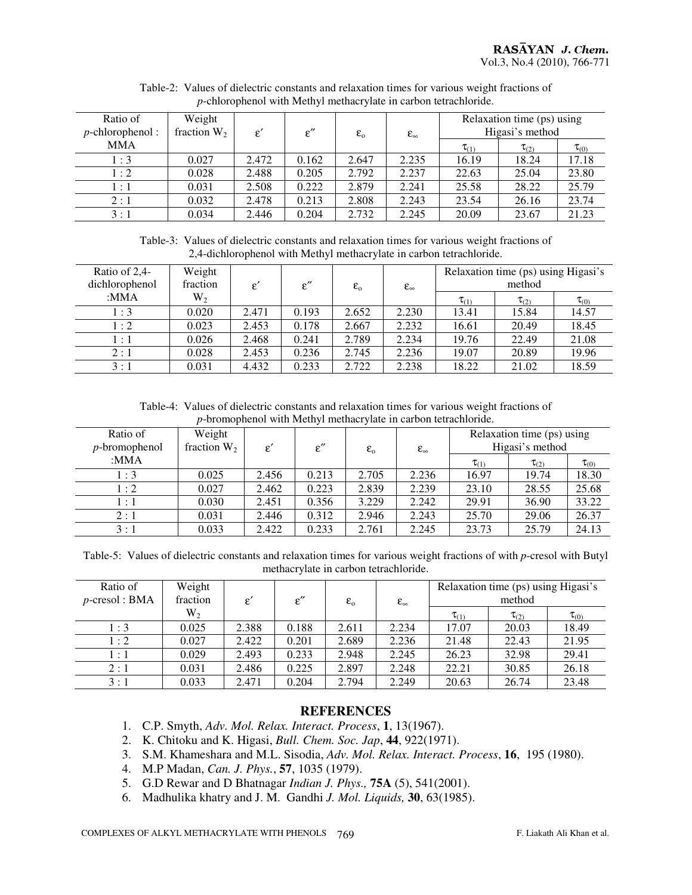| Ratio of<br>$p$ -chlorophenol: | Weight<br>fraction $W_2$ | $\varepsilon'$ | $\varepsilon''$ | $\varepsilon_{0}$ | $\epsilon_{\infty}$ |              | Relaxation time (ps) using<br>Higasi's method |              |
|--------------------------------|--------------------------|----------------|-----------------|-------------------|---------------------|--------------|-----------------------------------------------|--------------|
| <b>MMA</b>                     |                          |                |                 |                   |                     | $\tau_{(1)}$ | $\tau_{(2)}$                                  | $\tau_{(0)}$ |
| 1:3                            | 0.027                    | 2.472          | 0.162           | 2.647             | 2.235               | 16.19        | 18.24                                         | 17.18        |
| 1:2                            | 0.028                    | 2.488          | 0.205           | 2.792             | 2.237               | 22.63        | 25.04                                         | 23.80        |
| 1:1                            | 0.031                    | 2.508          | 0.222           | 2.879             | 2.241               | 25.58        | 28.22                                         | 25.79        |
| 2:1                            | 0.032                    | 2.478          | 0.213           | 2.808             | 2.243               | 23.54        | 26.16                                         | 23.74        |
| 3:1                            | 0.034                    | 2.446          | 0.204           | 2.732             | 2.245               | 20.09        | 23.67                                         | 21.23        |

Table-2: Values of dielectric constants and relaxation times for various weight fractions of *p*-chlorophenol with Methyl methacrylate in carbon tetrachloride.

Table-3: Values of dielectric constants and relaxation times for various weight fractions of 2,4-dichlorophenol with Methyl methacrylate in carbon tetrachloride.

| Ratio of $2,4$ -<br>dichlorophenol | Weight<br>fraction | $\varepsilon$ | $\varepsilon''$ | $\varepsilon_{0}$ | $\epsilon_{\infty}$ |              | Relaxation time (ps) using Higasi's<br>method |              |
|------------------------------------|--------------------|---------------|-----------------|-------------------|---------------------|--------------|-----------------------------------------------|--------------|
| :MMA                               | $W_2$              |               |                 |                   |                     | $\tau_{(1)}$ | $\tau_{(2)}$                                  | $\tau_{(0)}$ |
| 1:3                                | 0.020              | 2.471         | 0.193           | 2.652             | 2.230               | 13.41        | 15.84                                         | 14.57        |
| 1:2                                | 0.023              | 2.453         | 0.178           | 2.667             | 2.232               | 16.61        | 20.49                                         | 18.45        |
| 1:1                                | 0.026              | 2.468         | 0.241           | 2.789             | 2.234               | 19.76        | 22.49                                         | 21.08        |
| 2:1                                | 0.028              | 2.453         | 0.236           | 2.745             | 2.236               | 19.07        | 20.89                                         | 19.96        |
| 3:1                                | 0.031              | 4.432         | 0.233           | 2.722             | 2.238               | 18.22        | 21.02                                         | 18.59        |

Table-4: Values of dielectric constants and relaxation times for various weight fractions of *p*-bromophenol with Methyl methacrylate in carbon tetrachloride.

| Ratio of<br>$p$ -bromophenol | Weight<br>fraction $W_2$ | £.    | $\varepsilon''$ | $\epsilon_{0}$ | $\epsilon_{\infty}$ |              | Relaxation time (ps) using<br>Higasi's method |              |
|------------------------------|--------------------------|-------|-----------------|----------------|---------------------|--------------|-----------------------------------------------|--------------|
| :MMA                         |                          |       |                 |                |                     | $\tau_{(1)}$ | $\tau_{(2)}$                                  | $\tau_{(0)}$ |
| 1:3                          | 0.025                    | 2.456 | 0.213           | 2.705          | 2.236               | 16.97        | 19.74                                         | 18.30        |
| 1:2                          | 0.027                    | 2.462 | 0.223           | 2.839          | 2.239               | 23.10        | 28.55                                         | 25.68        |
| 1:1                          | 0.030                    | 2.451 | 0.356           | 3.229          | 2.242               | 29.91        | 36.90                                         | 33.22        |
| 2:1                          | 0.031                    | 2.446 | 0.312           | 2.946          | 2.243               | 25.70        | 29.06                                         | 26.37        |
| 3:1                          | 0.033                    | 2.422 | 0.233           | 2.761          | 2.245               | 23.73        | 25.79                                         | 24.13        |

Table-5: Values of dielectric constants and relaxation times for various weight fractions of with *p*-cresol with Butyl methacrylate in carbon tetrachloride.

| Ratio of<br>$p$ -cresol : BMA | Weight<br>fraction | $\varepsilon'$ | $\varepsilon''$ | $\varepsilon_{0}$ | $\epsilon_{\infty}$ |              | Relaxation time (ps) using Higasi's<br>method |              |
|-------------------------------|--------------------|----------------|-----------------|-------------------|---------------------|--------------|-----------------------------------------------|--------------|
|                               | $W_2$              |                |                 |                   |                     | $\tau_{(1)}$ | $\tau_{(2)}$                                  | $\tau_{(0)}$ |
| 1:3                           | 0.025              | 2.388          | 0.188           | 2.611             | 2.234               | 17.07        | 20.03                                         | 18.49        |
| 1:2                           | 0.027              | 2.422          | 0.201           | 2.689             | 2.236               | 21.48        | 22.43                                         | 21.95        |
| 1:1                           | 0.029              | 2.493          | 0.233           | 2.948             | 2.245               | 26.23        | 32.98                                         | 29.41        |
| 2:1                           | 0.031              | 2.486          | 0.225           | 2.897             | 2.248               | 22.21        | 30.85                                         | 26.18        |
| 3:1                           | 0.033              | 2.471          | 0.204           | 2.794             | 2.249               | 20.63        | 26.74                                         | 23.48        |

#### **REFERENCES**

- 1. C.P. Smyth, *Adv. Mol. Relax. Interact. Process*, **1**, 13(1967).
- 2. K. Chitoku and K. Higasi, *Bull. Chem. Soc. Jap*, **44**, 922(1971).
- 3. S.M. Khameshara and M.L. Sisodia, *Adv. Mol. Relax. Interact. Process*, **16**, 195 (1980).
- 4. M.P Madan, *Can. J. Phys.*, **57**, 1035 (1979).
- 5. G.D Rewar and D Bhatnagar *Indian J. Phys.,* **75A** (5), 541(2001).
- 6. Madhulika khatry and J. M. Gandhi *J. Mol. Liquids,* **30**, 63(1985).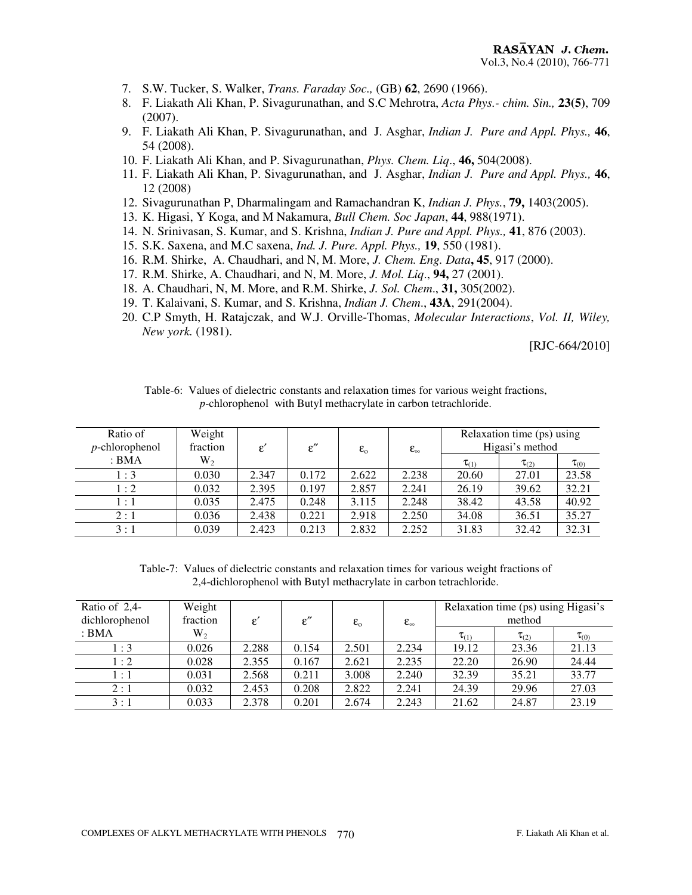- 7. S.W. Tucker, S. Walker, *Trans. Faraday Soc.,* (GB) **62**, 2690 (1966).
- 8. F. Liakath Ali Khan, P. Sivagurunathan, and S.C Mehrotra, *Acta Phys.- chim. Sin.,* **23(5)**, 709 (2007).
- 9. F. Liakath Ali Khan, P. Sivagurunathan, and J. Asghar, *Indian J. Pure and Appl. Phys.,* **46**, 54 (2008).
- 10. F. Liakath Ali Khan, and P. Sivagurunathan, *Phys. Chem. Liq*., **46,** 504(2008).
- 11. F. Liakath Ali Khan, P. Sivagurunathan, and J. Asghar, *Indian J. Pure and Appl. Phys.,* **46**, 12 (2008)
- 12. Sivagurunathan P, Dharmalingam and Ramachandran K, *Indian J. Phys.*, **79,** 1403(2005).
- 13. K. Higasi, Y Koga, and M Nakamura, *Bull Chem. Soc Japan*, **44**, 988(1971).
- 14. N. Srinivasan, S. Kumar, and S. Krishna, *Indian J. Pure and Appl. Phys.,* **41**, 876 (2003).
- 15. S.K. Saxena, and M.C saxena, *Ind. J. Pure. Appl. Phys.,* **19**, 550 (1981).
- 16. R.M. Shirke, A. Chaudhari, and N, M. More, *J. Chem. Eng. Data***, 45**, 917 (2000).
- 17. R.M. Shirke, A. Chaudhari, and N, M. More, *J. Mol. Liq*., **94,** 27 (2001).
- 18. A. Chaudhari, N, M. More, and R.M. Shirke, *J. Sol. Chem*., **31,** 305(2002).
- 19. T. Kalaivani, S. Kumar, and S. Krishna, *Indian J. Chem*., **43A**, 291(2004).
- 20. C.P Smyth, H. Ratajczak, and W.J. Orville-Thomas, *Molecular Interactions*, *Vol. II, Wiley, New york.* (1981).

[RJC-664/2010]

| Table-6: Values of dielectric constants and relaxation times for various weight fractions, |  |
|--------------------------------------------------------------------------------------------|--|
| <i>p</i> -chlorophenol with Butyl methacrylate in carbon tetrachloride.                    |  |

| Ratio of<br>$p$ -chlorophenol | Weight<br>fraction | $\varepsilon'$ | $\varepsilon''$ | $\varepsilon_{0}$ | $\epsilon_{\infty}$ |              | Relaxation time (ps) using<br>Higasi's method |              |
|-------------------------------|--------------------|----------------|-----------------|-------------------|---------------------|--------------|-----------------------------------------------|--------------|
| : BMA                         | $W_2$              |                |                 |                   |                     | $\tau_{(1)}$ | $\tau_{(2)}$                                  | $\tau_{(0)}$ |
| 1:3                           | 0.030              | 2.347          | 0.172           | 2.622             | 2.238               | 20.60        | 27.01                                         | 23.58        |
| 1:2                           | 0.032              | 2.395          | 0.197           | 2.857             | 2.241               | 26.19        | 39.62                                         | 32.21        |
| 1:1                           | 0.035              | 2.475          | 0.248           | 3.115             | 2.248               | 38.42        | 43.58                                         | 40.92        |
| 2:1                           | 0.036              | 2.438          | 0.221           | 2.918             | 2.250               | 34.08        | 36.51                                         | 35.27        |
| 3:1                           | 0.039              | 2.423          | 0.213           | 2.832             | 2.252               | 31.83        | 32.42                                         | 32.31        |

Table-7: Values of dielectric constants and relaxation times for various weight fractions of 2,4-dichlorophenol with Butyl methacrylate in carbon tetrachloride.

| Ratio of $2,4$ -<br>dichlorophenol | Weight<br>fraction | £.    | $\varepsilon''$ | $\varepsilon_{0}$ | $\epsilon_{\infty}$ |              | Relaxation time (ps) using Higasi's<br>method |              |
|------------------------------------|--------------------|-------|-----------------|-------------------|---------------------|--------------|-----------------------------------------------|--------------|
| : BMA                              | $W_2$              |       |                 |                   |                     | $\tau_{(1)}$ | $\tau_{(2)}$                                  | $\tau_{(0)}$ |
| $\therefore$ 3                     | 0.026              | 2.288 | 0.154           | 2.501             | 2.234               | 19.12        | 23.36                                         | 21.13        |
| $1:2^{-}$                          | 0.028              | 2.355 | 0.167           | 2.621             | 2.235               | 22.20        | 26.90                                         | 24.44        |
| 1:1                                | 0.031              | 2.568 | 0.211           | 3.008             | 2.240               | 32.39        | 35.21                                         | 33.77        |
| 2:1                                | 0.032              | 2.453 | 0.208           | 2.822             | 2.241               | 24.39        | 29.96                                         | 27.03        |
| 3:1                                | 0.033              | 2.378 | 0.201           | 2.674             | 2.243               | 21.62        | 24.87                                         | 23.19        |